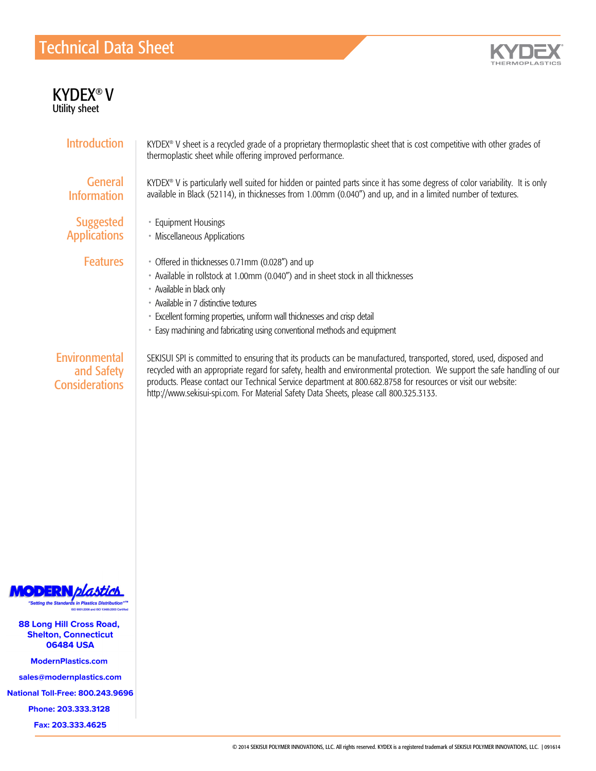## Technical Data Sheet



| <b>KYDEX®V</b><br><b>Utility sheet</b>               |                                                                                                                                                                                                                                                                                                                                                                                                                                                            |
|------------------------------------------------------|------------------------------------------------------------------------------------------------------------------------------------------------------------------------------------------------------------------------------------------------------------------------------------------------------------------------------------------------------------------------------------------------------------------------------------------------------------|
| <b>Introduction</b>                                  | KYDEX® V sheet is a recycled grade of a proprietary thermoplastic sheet that is cost competitive with other grades of<br>thermoplastic sheet while offering improved performance.                                                                                                                                                                                                                                                                          |
| <b>General</b><br><b>Information</b>                 | KYDEX® V is particularly well suited for hidden or painted parts since it has some degress of color variability. It is only<br>available in Black (52114), in thicknesses from 1.00mm (0.040") and up, and in a limited number of textures.                                                                                                                                                                                                                |
| <b>Suggested</b><br><b>Applications</b>              | • Equipment Housings<br>• Miscellaneous Applications                                                                                                                                                                                                                                                                                                                                                                                                       |
| <b>Features</b>                                      | • Offered in thicknesses 0.71mm (0.028") and up<br>• Available in rollstock at 1.00mm (0.040") and in sheet stock in all thicknesses<br>• Available in black only<br>• Available in 7 distinctive textures<br>• Excellent forming properties, uniform wall thicknesses and crisp detail<br>• Easy machining and fabricating using conventional methods and equipment                                                                                       |
| Environmental<br>and Safety<br><b>Considerations</b> | SEKISUI SPI is committed to ensuring that its products can be manufactured, transported, stored, used, disposed and<br>recycled with an appropriate regard for safety, health and environmental protection. We support the safe handling of our<br>products. Please contact our Technical Service department at 800.682.8758 for resources or visit our website:<br>http://www.sekisui-spi.com. For Material Safety Data Sheets, please call 800.325.3133. |



Customer Service Service Service Service Service Service Service Service Service Service Service Service Service Service Service Service Service Service Service Service Service Service Service Service Service Service Servi

.ong Hill Cross Road, **Shelton, Connecticut** 06484 USA

**ModernPlastics.com** 

s@modernnla Fax: +1.570.387.8722

**National Toll-Free: 800.243.9696** 

Phone: 203.333.3128

Fax: 203.333.4625